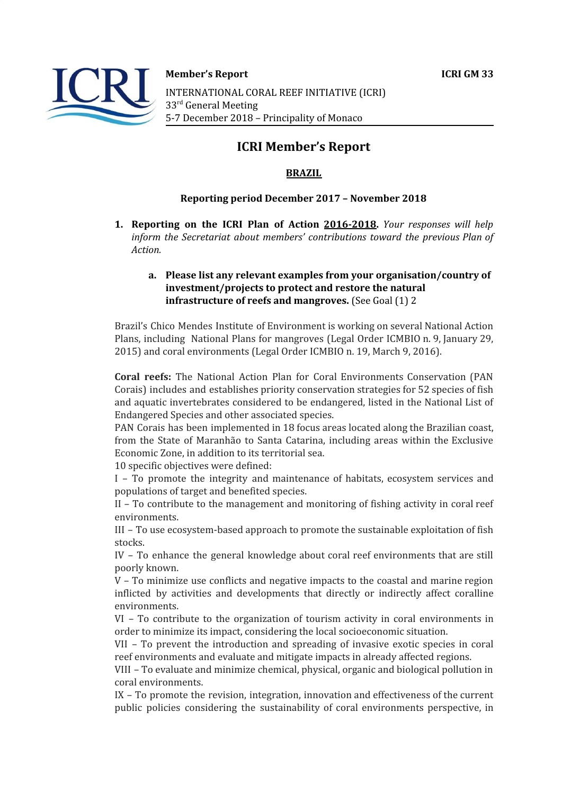

**Member's Report ICRI GM 33**

INTERNATIONAL CORAL REEF INITIATIVE (ICRI) 33<sup>rd</sup> General Meeting 5-7 December 2018 – Principality of Monaco

# **ICRI Member's Report**

### **BRAZIL**

#### **Reporting period December 2017 – November 2018**

**1. Reporting on the ICRI Plan of Action 2016-2018.** *Your responses will help inform the Secretariat about members' contributions toward the previous Plan of Action.*

#### **a. Please list any relevant examples from your organisation/country of investment/projects to protect and restore the natural infrastructure of reefs and mangroves.** (See Goal (1) 2

Brazil's Chico Mendes Institute of Environment is working on several National Action Plans, including National Plans for mangroves (Legal Order ICMBIO n. 9, January 29, 2015) and coral environments (Legal Order ICMBIO n. 19, March 9, 2016).

**Coral reefs:** The National Action Plan for Coral Environments Conservation (PAN Corais) includes and establishes priority conservation strategies for 52 species of fish and aquatic invertebrates considered to be endangered, listed in the National List of Endangered Species and other associated species.

PAN Corais has been implemented in 18 focus areas located along the Brazilian coast, from the State of Maranhão to Santa Catarina, including areas within the Exclusive Economic Zone, in addition to its territorial sea.

10 specific objectives were defined:

I – To promote the integrity and maintenance of habitats, ecosystem services and populations of target and benefited species.

II – To contribute to the management and monitoring of fishing activity in coral reef environments.

III – To use ecosystem-based approach to promote the sustainable exploitation of fish stocks.

IV – To enhance the general knowledge about coral reef environments that are still poorly known.

V – To minimize use conflicts and negative impacts to the coastal and marine region inflicted by activities and developments that directly or indirectly affect coralline environments.

VI – To contribute to the organization of tourism activity in coral environments in order to minimize its impact, considering the local socioeconomic situation.

VII – To prevent the introduction and spreading of invasive exotic species in coral reef environments and evaluate and mitigate impacts in already affected regions.

VIII – To evaluate and minimize chemical, physical, organic and biological pollution in coral environments.

IX – To promote the revision, integration, innovation and effectiveness of the current public policies considering the sustainability of coral environments perspective, in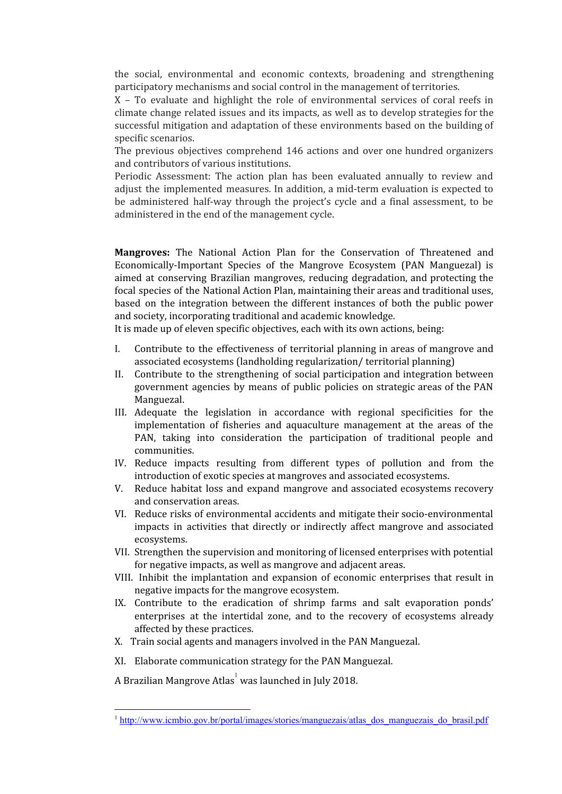the social, environmental and economic contexts, broadening and strengthening participatory mechanisms and social control in the management of territories.

X – To evaluate and highlight the role of environmental services of coral reefs in climate change related issues and its impacts, as well as to develop strategies for the successful mitigation and adaptation of these environments based on the building of specific scenarios.

The previous objectives comprehend 146 actions and over one hundred organizers and contributors of various institutions.

Periodic Assessment: The action plan has been evaluated annually to review and adjust the implemented measures. In addition, a mid-term evaluation is expected to be administered half-way through the project's cycle and a final assessment, to be administered in the end of the management cycle.

**Mangroves:** The National Action Plan for the Conservation of Threatened and Economically-Important Species of the Mangrove Ecosystem (PAN Manguezal) is aimed at conserving Brazilian mangroves, reducing degradation, and protecting the focal species of the National Action Plan, maintaining their areas and traditional uses, based on the integration between the different instances of both the public power and society, incorporating traditional and academic knowledge.

It is made up of eleven specific objectives, each with its own actions, being:

- I. Contribute to the effectiveness of territorial planning in areas of mangrove and associated ecosystems (landholding regularization/ territorial planning)
- II. Contribute to the strengthening of social participation and integration between government agencies by means of public policies on strategic areas of the PAN Manguezal.
- III. Adequate the legislation in accordance with regional specificities for the implementation of fisheries and aquaculture management at the areas of the PAN, taking into consideration the participation of traditional people and communities.
- IV. Reduce impacts resulting from different types of pollution and from the introduction of exotic species at mangroves and associated ecosystems.
- V. Reduce habitat loss and expand mangrove and associated ecosystems recovery and conservation areas.
- VI. Reduce risks of environmental accidents and mitigate their socio-environmental impacts in activities that directly or indirectly affect mangrove and associated ecosystems.
- VII. Strengthen the supervision and monitoring of licensed enterprises with potential for negative impacts, as well as mangrove and adjacent areas.
- VIII. Inhibit the implantation and expansion of economic enterprises that result in negative impacts for the mangrove ecosystem.
- IX. Contribute to the eradication of shrimp farms and salt evaporation ponds' enterprises at the intertidal zone, and to the recovery of ecosystems already affected by these practices.
- X. Train social agents and managers involved in the PAN Manguezal.
- XI. Elaborate communication strategy for the PAN Manguezal.

A Brazilian Mangrove Atlas $^{\rm l}$  was launched in July 2018.

<sup>&</sup>lt;sup>1</sup> [http://www.icmbio.gov.br/portal/images/stories/manguezais/atlas\\_dos\\_manguezais\\_do\\_brasil.pdf](http://www.icmbio.gov.br/portal/images/stories/manguezais/atlas_dos_manguezais_do_brasil.pdf)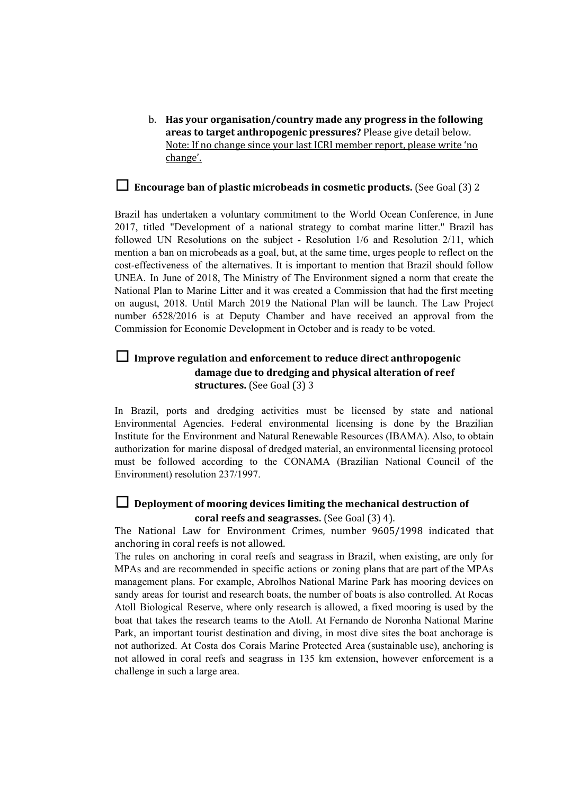b. **Has your organisation/country made any progress in the following areas to target anthropogenic pressures?** Please give detail below. Note: If no change since your last ICRI member report, please write 'no change'.

# ☐ **Encourage ban of plastic microbeads in cosmetic products.** (See Goal (3) <sup>2</sup>

Brazil has undertaken a voluntary commitment to the World Ocean Conference, in June 2017, titled "Development of a national strategy to combat marine litter." Brazil has followed UN Resolutions on the subject - Resolution 1/6 and Resolution 2/11, which mention a ban on microbeads as a goal, but, at the same time, urges people to reflect on the cost-effectiveness of the alternatives. It is important to mention that Brazil should follow UNEA. In June of 2018, The Ministry of The Environment signed a norm that create the National Plan to Marine Litter and it was created a Commission that had the first meeting on august, 2018. Until March 2019 the National Plan will be launch. The Law Project number 6528/2016 is at Deputy Chamber and have received an approval from the Commission for Economic Development in October and is ready to be voted.

# ☐ **Improve regulation and enforcement to reduce direct anthropogenic damage due to dredging and physical alteration of reef structures.** (See Goal (3) 3

In Brazil, ports and dredging activities must be licensed by state and national Environmental Agencies. Federal environmental licensing is done by the Brazilian Institute for the Environment and Natural Renewable Resources (IBAMA). Also, to obtain authorization for marine disposal of dredged material, an environmental licensing protocol must be followed according to the CONAMA (Brazilian National Council of the Environment) resolution 237/1997.

# ☐ **Deployment of mooring devices limiting the mechanical destruction of coral reefs and seagrasses.** (See Goal (3) 4).

The National Law for Environment Crimes, number 9605/1998 indicated that anchoring in coral reefs is not allowed.

The rules on anchoring in coral reefs and seagrass in Brazil, when existing, are only for MPAs and are recommended in specific actions or zoning plans that are part of the MPAs management plans. For example, Abrolhos National Marine Park has mooring devices on sandy areas for tourist and research boats, the number of boats is also controlled. At Rocas Atoll Biological Reserve, where only research is allowed, a fixed mooring is used by the boat that takes the research teams to the Atoll. At Fernando de Noronha National Marine Park, an important tourist destination and diving, in most dive sites the boat anchorage is not authorized. At Costa dos Corais Marine Protected Area (sustainable use), anchoring is not allowed in coral reefs and seagrass in 135 km extension, however enforcement is a challenge in such a large area.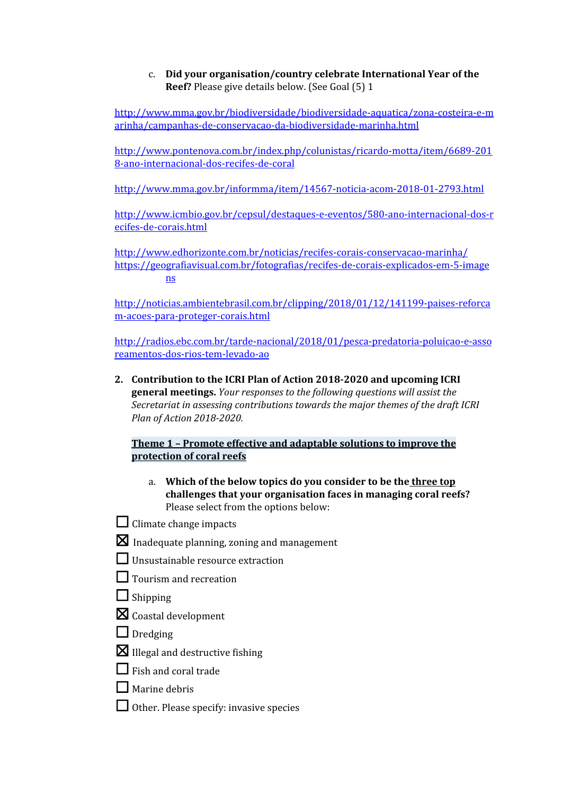# c. **Did your organisation/country celebrate International Year of the Reef?** Please give details below. (See Goal (5) 1

[http://www.mma.gov.br/biodiversidade/biodiversidade-aquatica/zona-costeira-e-m](http://www.mma.gov.br/biodiversidade/biodiversidade-aquatica/zona-costeira-e-marinha/campanhas-de-conservacao-da-biodiversidade-marinha.html) [arinha/campanhas-de-conservacao-da-biodiversidade-marinha.html](http://www.mma.gov.br/biodiversidade/biodiversidade-aquatica/zona-costeira-e-marinha/campanhas-de-conservacao-da-biodiversidade-marinha.html)

[http://www.pontenova.com.br/index.php/colunistas/ricardo-motta/item/6689-201](http://www.pontenova.com.br/index.php/colunistas/ricardo-motta/item/6689-2018-ano-internacional-dos-recifes-de-coral) [8-ano-internacional-dos-recifes-de-coral](http://www.pontenova.com.br/index.php/colunistas/ricardo-motta/item/6689-2018-ano-internacional-dos-recifes-de-coral)

<http://www.mma.gov.br/informma/item/14567-noticia-acom-2018-01-2793.html>

[http://www.icmbio.gov.br/cepsul/destaques-e-eventos/580-ano-internacional-dos-r](http://www.icmbio.gov.br/cepsul/destaques-e-eventos/580-ano-internacional-dos-recifes-de-corais.html) [ecifes-de-corais.html](http://www.icmbio.gov.br/cepsul/destaques-e-eventos/580-ano-internacional-dos-recifes-de-corais.html)

<http://www.edhorizonte.com.br/noticias/recifes-corais-conservacao-marinha/> [https://geografiavisual.com.br/fotografias/recifes-de-corais-explicados-em-5-image](https://geografiavisual.com.br/fotografias/recifes-de-corais-explicados-em-5-imagens) [ns](https://geografiavisual.com.br/fotografias/recifes-de-corais-explicados-em-5-imagens)

[http://noticias.ambientebrasil.com.br/clipping/2018/01/12/141199-paises-reforca](http://noticias.ambientebrasil.com.br/clipping/2018/01/12/141199-paises-reforcam-acoes-para-proteger-corais.html) [m-acoes-para-proteger-corais.html](http://noticias.ambientebrasil.com.br/clipping/2018/01/12/141199-paises-reforcam-acoes-para-proteger-corais.html)

[http://radios.ebc.com.br/tarde-nacional/2018/01/pesca-predatoria-poluicao-e-asso](http://radios.ebc.com.br/tarde-nacional/2018/01/pesca-predatoria-poluicao-e-assoreamentos-dos-rios-tem-levado-ao) [reamentos-dos-rios-tem-levado-ao](http://radios.ebc.com.br/tarde-nacional/2018/01/pesca-predatoria-poluicao-e-assoreamentos-dos-rios-tem-levado-ao)

**2. Contribution to the ICRI Plan of Action 2018-2020 and upcoming ICRI general meetings.** *Your responses to the following questions will assist the Secretariat in assessing contributions towards the major themes of the draft ICRI Plan of Action 2018-2020.*

**Theme 1 – Promote effective and adaptable solutions to improve the protection of coral reefs**

- a. **Which of the below topics do you consider to be the three top challenges that your organisation faces in managing coral reefs?** Please select from the options below:
- $\Box$  Climate change impacts
- $\boxtimes$  Inadequate planning, zoning and management
- **□Unsustainable resource extraction**
- □Tourism and recreation
- $\Box$  Shipping
- $\boxtimes$  Coastal development
- $\Box$  Dredging
- $\boxtimes$  Illegal and destructive fishing
- $\Box$  Fish and coral trade
- $\Box$  Marine debris
- $\Box$  Other. Please specify: invasive species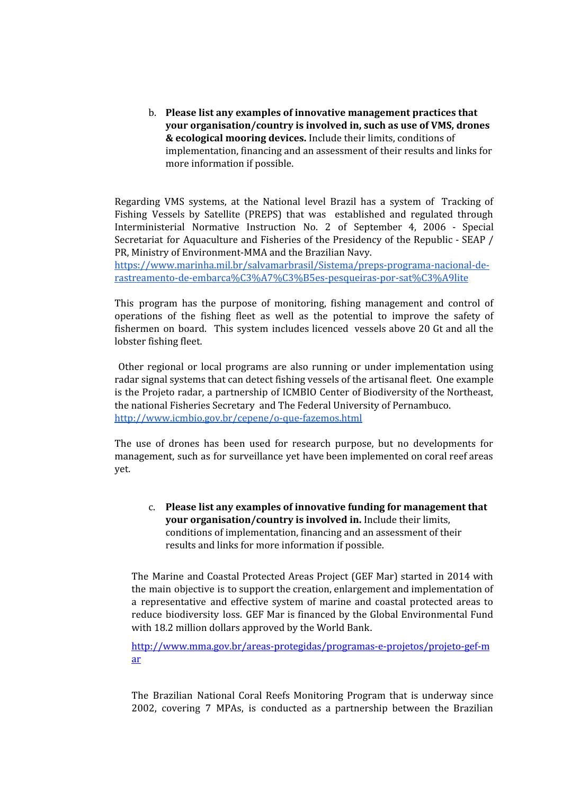b. **Please list any examples of innovative management practices that your organisation/country is involved in, such as use of VMS, drones & ecological mooring devices.** Include their limits, conditions of implementation, financing and an assessment of their results and links for more information if possible.

Regarding VMS systems, at the National level Brazil has a system of Tracking of Fishing Vessels by Satellite (PREPS) that was established and regulated through Interministerial Normative Instruction No. 2 of September 4, 2006 - Special Secretariat for Aquaculture and Fisheries of the Presidency of the Republic - SEAP / PR, Ministry of Environment-MMA and the Brazilian Navy.

[https://www.marinha.mil.br/salvamarbrasil/Sistema/preps-programa-nacional-de](https://www.marinha.mil.br/salvamarbrasil/Sistema/preps-programa-nacional-de-rastreamento-de-embarca%C3%A7%C3%B5es-pesqueiras-por-sat%C3%A9lite)[rastreamento-de-embarca%C3%A7%C3%B5es-pesqueiras-por-sat%C3%A9lite](https://www.marinha.mil.br/salvamarbrasil/Sistema/preps-programa-nacional-de-rastreamento-de-embarca%C3%A7%C3%B5es-pesqueiras-por-sat%C3%A9lite)

This program has the purpose of monitoring, fishing management and control of operations of the fishing fleet as well as the potential to improve the safety of fishermen on board. This system includes licenced vessels above 20 Gt and all the lobster fishing fleet.

Other regional or local programs are also running or under implementation using radar signal systems that can detect fishing vessels of the artisanal fleet. One example is the Projeto radar, a partnership of ICMBIO Center of Biodiversity of the Northeast, the national Fisheries Secretary and The Federal University of Pernambuco. <http://www.icmbio.gov.br/cepene/o-que-fazemos.html>

The use of drones has been used for research purpose, but no developments for management, such as for surveillance yet have been implemented on coral reef areas yet.

c. **Please list any examples of innovative funding for management that your organisation/country is involved in.** Include their limits, conditions of implementation, financing and an assessment of their results and links for more information if possible.

The Marine and Coastal Protected Areas Project (GEF Mar) started in 2014 with the main objective is to support the creation, enlargement and implementation of a representative and effective system of marine and coastal protected areas to reduce biodiversity loss. GEF Mar is financed by the Global Environmental Fund with 18.2 million dollars approved by the World Bank.

[http://www.mma.gov.br/areas-protegidas/programas-e-projetos/projeto-gef-m](http://www.mma.gov.br/areas-protegidas/programas-e-projetos/projeto-gef-mar) [ar](http://www.mma.gov.br/areas-protegidas/programas-e-projetos/projeto-gef-mar)

The Brazilian National Coral Reefs Monitoring Program that is underway since 2002, covering 7 MPAs, is conducted as a partnership between the Brazilian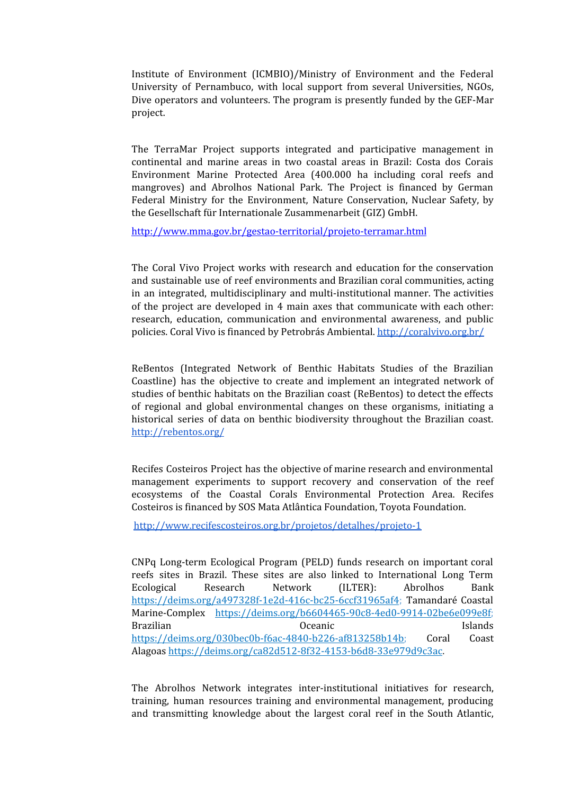Institute of Environment (ICMBIO)/Ministry of Environment and the Federal University of Pernambuco, with local support from several Universities, NGOs, Dive operators and volunteers. The program is presently funded by the GEF-Mar project.

The TerraMar Project supports integrated and participative management in continental and marine areas in two coastal areas in Brazil: Costa dos Corais Environment Marine Protected Area (400.000 ha including coral reefs and mangroves) and Abrolhos National Park. The Project is financed by German Federal Ministry for the Environment, Nature Conservation, Nuclear Safety, by the Gesellschaft für Internationale Zusammenarbeit (GIZ) GmbH.

<http://www.mma.gov.br/gestao-territorial/projeto-terramar.html>

The Coral Vivo Project works with research and education for the conservation and sustainable use of reef environments and Brazilian coral communities, acting in an integrated, multidisciplinary and multi-institutional manner. The activities of the project are developed in 4 main axes that communicate with each other: research, education, communication and environmental awareness, and public policies. Coral Vivo is financed by Petrobrás Ambiental. <http://coralvivo.org.br/>

ReBentos (Integrated Network of Benthic Habitats Studies of the Brazilian Coastline) has the objective to create and implement an integrated network of studies of benthic habitats on the Brazilian coast (ReBentos) to detect the effects of regional and global environmental changes on these organisms, initiating a historical series of data on benthic biodiversity throughout the Brazilian coast. <http://rebentos.org/>

Recifes Costeiros Project has the objective of marine research and environmental management experiments to support recovery and conservation of the reef ecosystems of the Coastal Corals Environmental Protection Area. Recifes Costeiros is financed by SOS Mata Atlântica Foundation, Toyota Foundation.

<http://www.recifescosteiros.org.br/projetos/detalhes/projeto-1>

CNPq Long-term Ecological Program (PELD) funds research on important coral reefs sites in Brazil. These sites are also linked to International Long Term Ecological Research Network (ILTER): Abrolhos Bank <https://deims.org/a497328f-1e2d-416c-bc25-6ccf31965af4>; Tamandaré Coastal Marine-Complex [https://deims.org/b6604465-90c8-4ed0-9914-02be6e099e8f;](https://deims.org/b6604465-90c8-4ed0-9914-02be6e099e8f) Brazilian Oceanic Islands [https://deims.org/030bec0b-f6ac-4840-b226-af813258b14b;](https://deims.org/030bec0b-f6ac-4840-b226-af813258b14b) Coral Coast Alagoas <https://deims.org/ca82d512-8f32-4153-b6d8-33e979d9c3ac>.

The Abrolhos Network integrates inter-institutional initiatives for research, training, human resources training and environmental management, producing and transmitting knowledge about the largest coral reef in the South Atlantic,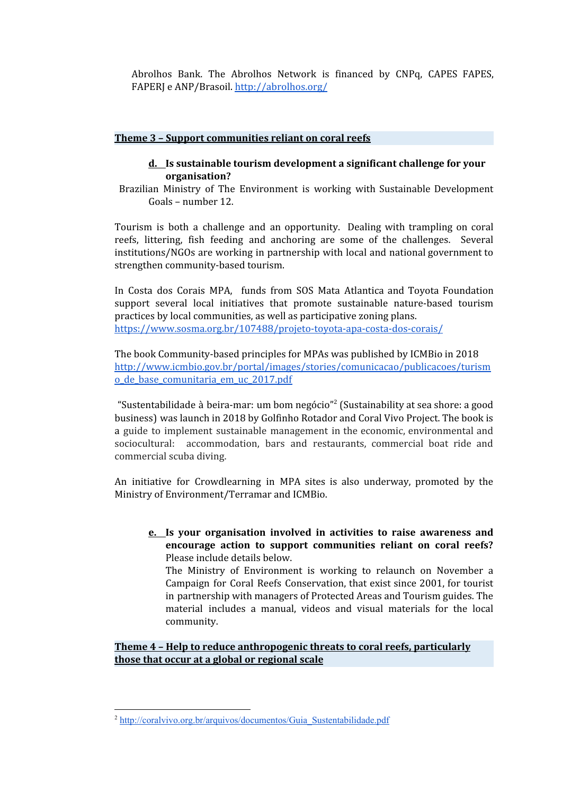Abrolhos Bank. The Abrolhos Network is financed by CNPq, CAPES FAPES, FAPERJ e ANP/Brasoil. <http://abrolhos.org/>

#### **Theme 3 – Support communities reliant on coral reefs**

#### **d. Is sustainable tourism development a significant challenge for your organisation?**

Brazilian Ministry of The Environment is working with Sustainable Development Goals – number 12.

Tourism is both a challenge and an opportunity. Dealing with trampling on coral reefs, littering, fish feeding and anchoring are some of the challenges. Several institutions/NGOs are working in partnership with local and national government to strengthen community-based tourism.

In Costa dos Corais MPA, funds from SOS Mata Atlantica and Toyota Foundation support several local initiatives that promote sustainable nature-based tourism practices by local communities, as well as participative zoning plans. <https://www.sosma.org.br/107488/projeto-toyota-apa-costa-dos-corais/>

The book Community-based principles for MPAs was published by ICMBio in 2018 [http://www.icmbio.gov.br/portal/images/stories/comunicacao/publicacoes/turism](http://www.icmbio.gov.br/portal/images/stories/comunicacao/publicacoes/turismo_de_base_comunitaria_em_uc_2017.pdf) [o\\_de\\_base\\_comunitaria\\_em\\_uc\\_2017.pdf](http://www.icmbio.gov.br/portal/images/stories/comunicacao/publicacoes/turismo_de_base_comunitaria_em_uc_2017.pdf)

"Sustentabilidade à beira-mar: um bom negócio"<sup>2</sup> (Sustainability at sea shore: a good business) was launch in 2018 by Golfinho Rotador and Coral Vivo Project. The book is a guide to implement sustainable management in the economic, environmental and sociocultural: accommodation, bars and restaurants, commercial boat ride and commercial scuba diving.

An initiative for Crowdlearning in MPA sites is also underway, promoted by the Ministry of Environment/Terramar and ICMBio.

**e. Is your organisation involved in activities to raise awareness and encourage action to support communities reliant on coral reefs?** Please include details below.

The Ministry of Environment is working to relaunch on November a Campaign for Coral Reefs Conservation, that exist since 2001, for tourist in partnership with managers of Protected Areas and Tourism guides. The material includes a manual, videos and visual materials for the local community.

**Theme 4 – Help to reduce anthropogenic threats to coral reefs, particularly those that occur at a global or regional scale**

<sup>&</sup>lt;sup>2</sup> [http://coralvivo.org.br/arquivos/documentos/Guia\\_Sustentabilidade.pdf](http://coralvivo.org.br/arquivos/documentos/Guia_Sustentabilidade.pdf)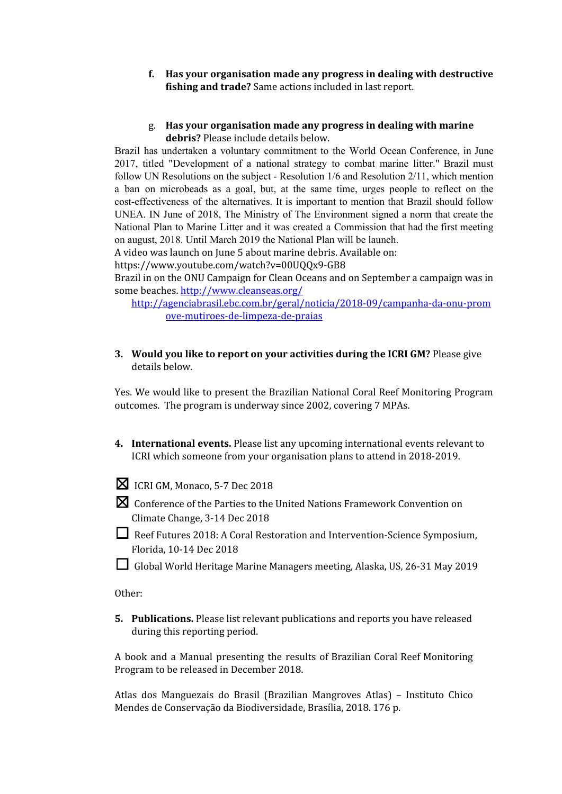- **f. Has your organisation made any progress in dealing with destructive fishing and trade?** Same actions included in last report.
- g. **Has your organisation made any progress in dealing with marine debris?** Please include details below.

Brazil has undertaken a voluntary commitment to the World Ocean Conference, in June 2017, titled "Development of a national strategy to combat marine litter." Brazil must follow UN Resolutions on the subject - Resolution 1/6 and Resolution 2/11, which mention a ban on microbeads as a goal, but, at the same time, urges people to reflect on the cost-effectiveness of the alternatives. It is important to mention that Brazil should follow UNEA. IN June of 2018, The Ministry of The Environment signed a norm that create the National Plan to Marine Litter and it was created a Commission that had the first meeting on august, 2018. Until March 2019 the National Plan will be launch.

A video was launch on June 5 about marine debris. Available on:

https://www.youtube.com/watch?v=00UQQx9-GB8

Brazil in on the ONU Campaign for Clean Oceans and on September a campaign was in some beaches. <http://www.cleanseas.org/>

[http://agenciabrasil.ebc.com.br/geral/noticia/2018-09/campanha-da-onu-prom](http://agenciabrasil.ebc.com.br/geral/noticia/2018-09/campanha-da-onu-promove-mutiroes-de-limpeza-de-praias) [ove-mutiroes-de-limpeza-de-praias](http://agenciabrasil.ebc.com.br/geral/noticia/2018-09/campanha-da-onu-promove-mutiroes-de-limpeza-de-praias)

**3. Would you like to report on your activities during the ICRI GM?** Please give details below.

Yes. We would like to present the Brazilian National Coral Reef Monitoring Program outcomes. The program is underway since 2002, covering 7 MPAs.

- **4. International events.** Please list any upcoming international events relevant to ICRI which someone from your organisation plans to attend in 2018-2019.
- ☒ ICRI GM, Monaco, 5-7 Dec <sup>2018</sup>
- ☒ Conference of the Parties to the United Nations Framework Convention on Climate Change, 3-14 Dec 2018
- ☐ Reef Futures 2018: <sup>A</sup> Coral Restoration and Intervention-Science Symposium, Florida, 10-14 Dec 2018
- ☐ Global World Heritage Marine Managers meeting, Alaska, US, 26-31 May <sup>2019</sup>

Other:

**5. Publications.** Please list relevant publications and reports you have released during this reporting period.

A book and a Manual presenting the results of Brazilian Coral Reef Monitoring Program to be released in December 2018.

Atlas dos Manguezais do Brasil (Brazilian Mangroves Atlas) – Instituto Chico Mendes de Conservação da Biodiversidade, Brasília, 2018. 176 p.